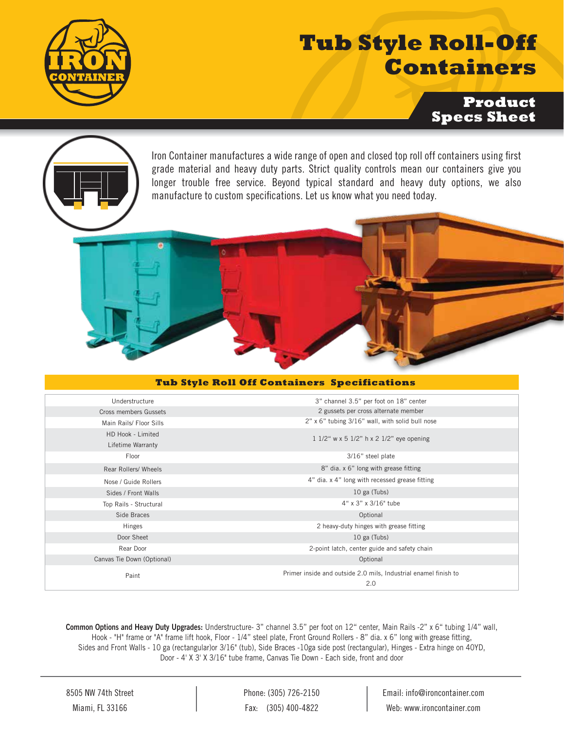

## **Tub Style Roll-Off Containers**

**Product Specs Sheet**



## **Tub Style Roll Off Containers Specifications**

| Understructure             | 3" channel 3.5" per foot on 18" center                                 |  |  |
|----------------------------|------------------------------------------------------------------------|--|--|
| Cross members Gussets      | 2 gussets per cross alternate member                                   |  |  |
| Main Rails/ Floor Sills    | 2" x 6" tubing 3/16" wall, with solid bull nose                        |  |  |
| HD Hook - Limited          | 1 1/2" w x 5 1/2" h x 2 1/2" eye opening                               |  |  |
| Lifetime Warranty          |                                                                        |  |  |
| Floor                      | 3/16" steel plate                                                      |  |  |
| Rear Rollers/ Wheels       | 8" dia. x 6" long with grease fitting                                  |  |  |
| Nose / Guide Rollers       | 4" dia. x 4" long with recessed grease fitting                         |  |  |
| Sides / Front Walls        | 10 ga (Tubs)                                                           |  |  |
| Top Rails - Structural     | 4" x 3" x 3/16" tube                                                   |  |  |
| Side Braces                | Optional                                                               |  |  |
| Hinges                     | 2 heavy-duty hinges with grease fitting                                |  |  |
| Door Sheet                 | 10 ga (Tubs)                                                           |  |  |
| Rear Door                  | 2-point latch, center guide and safety chain                           |  |  |
| Canvas Tie Down (Optional) | Optional                                                               |  |  |
| Paint                      | Primer inside and outside 2.0 mils, Industrial enamel finish to<br>2.0 |  |  |

Common Options and Heavy Duty Upgrades: Understructure- 3" channel 3.5" per foot on 12" center, Main Rails -2" x 6" tubing 1/4" wall, Hook - "H" frame or "A" frame lift hook, Floor - 1/4" steel plate, Front Ground Rollers - 8" dia. x 6" long with grease tting, Sides and Front Walls - 10 ga (rectangular)or 3/16" (tub), Side Braces -10ga side post (rectangular), Hinges - Extra hinge on 40YD, Door - 4' X 3' X 3/16" tube frame, Canvas Tie Down - Each side, front and door

Phone: (305) 726-2150 Fax: (305) 400-4822

Email: info@ironcontainer.com Web: www.ironcontainer.com